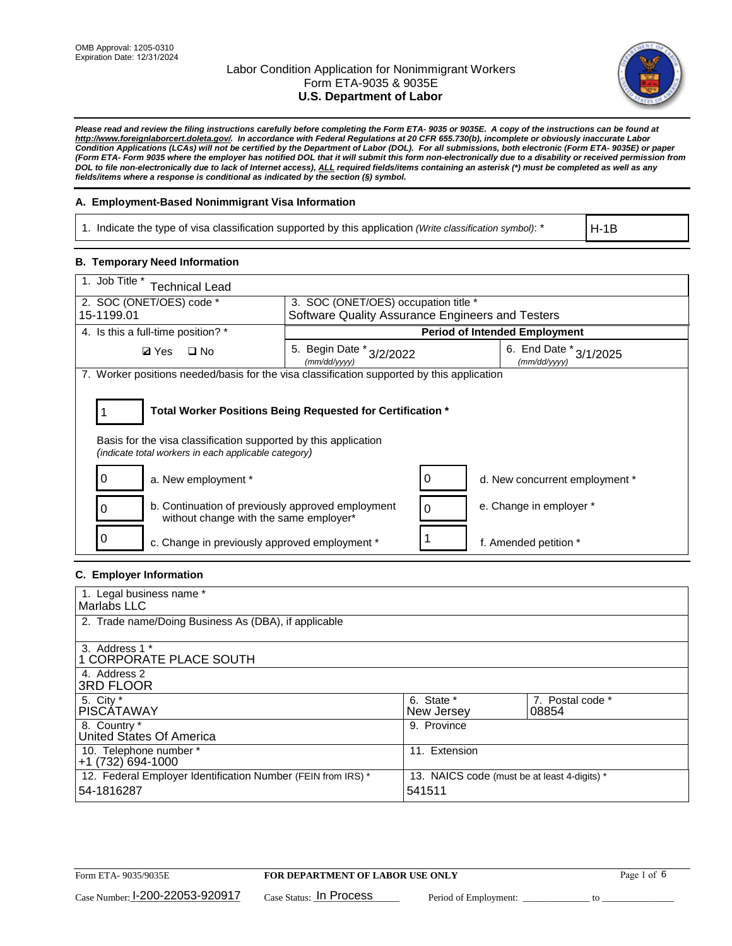

*Please read and review the filing instructions carefully before completing the Form ETA- 9035 or 9035E. A copy of the instructions can be found at http://www.foreignlaborcert.doleta.gov/. In accordance with Federal Regulations at 20 CFR 655.730(b), incomplete or obviously inaccurate Labor Condition Applications (LCAs) will not be certified by the Department of Labor (DOL). For all submissions, both electronic (Form ETA- 9035E) or paper (Form ETA- Form 9035 where the employer has notified DOL that it will submit this form non-electronically due to a disability or received permission from DOL to file non-electronically due to lack of Internet access), ALL required fields/items containing an asterisk (\*) must be completed as well as any fields/items where a response is conditional as indicated by the section (§) symbol.* 

### **A. Employment-Based Nonimmigrant Visa Information**

1. Indicate the type of visa classification supported by this application *(Write classification symbol)*: \*

H-1B

### **B. Temporary Need Information**

| 1. Job Title *<br>echnical Lead                                                                                                    |                                                                                                                         |                                                                    |                                      |  |  |  |  |
|------------------------------------------------------------------------------------------------------------------------------------|-------------------------------------------------------------------------------------------------------------------------|--------------------------------------------------------------------|--------------------------------------|--|--|--|--|
| 2. SOC (ONET/OES) code *                                                                                                           | 3. SOC (ONET/OES) occupation title *                                                                                    |                                                                    |                                      |  |  |  |  |
| 15-1199.01                                                                                                                         |                                                                                                                         | Software Quality Assurance Engineers and Testers                   |                                      |  |  |  |  |
| 4. Is this a full-time position? *                                                                                                 |                                                                                                                         |                                                                    | <b>Period of Intended Employment</b> |  |  |  |  |
| $\square$ No<br><b>Ø</b> Yes                                                                                                       | (mm/dd/yyyy)                                                                                                            | 6. End Date * 3/1/2025<br>5. Begin Date * 3/2/2022<br>(mm/dd/yyyy) |                                      |  |  |  |  |
| 7. Worker positions needed/basis for the visa classification supported by this application                                         |                                                                                                                         |                                                                    |                                      |  |  |  |  |
|                                                                                                                                    |                                                                                                                         |                                                                    |                                      |  |  |  |  |
|                                                                                                                                    | Total Worker Positions Being Requested for Certification *                                                              |                                                                    |                                      |  |  |  |  |
|                                                                                                                                    | Basis for the visa classification supported by this application<br>(indicate total workers in each applicable category) |                                                                    |                                      |  |  |  |  |
| a. New employment *                                                                                                                |                                                                                                                         | O                                                                  | d. New concurrent employment *       |  |  |  |  |
| b. Continuation of previously approved employment<br>e. Change in employer *<br>$\Omega$<br>without change with the same employer* |                                                                                                                         |                                                                    |                                      |  |  |  |  |
| c. Change in previously approved employment *                                                                                      |                                                                                                                         |                                                                    | f. Amended petition *                |  |  |  |  |

### **C. Employer Information**

| 1. Legal business name *                                                   |                                                        |                           |
|----------------------------------------------------------------------------|--------------------------------------------------------|---------------------------|
| Marlabs LLC                                                                |                                                        |                           |
| 2. Trade name/Doing Business As (DBA), if applicable                       |                                                        |                           |
| 3. Address 1 *<br>1 CORPORATE PLACE SOUTH<br>4. Address 2                  |                                                        |                           |
| <b>3RD FLOOR</b>                                                           |                                                        |                           |
| 5. City *<br><b>PISCÁTAWAY</b>                                             | 6. State *<br>New Jersey                               | 7. Postal code *<br>08854 |
| 8. Country *<br>United States Of America                                   | 9. Province                                            |                           |
| 10. Telephone number *<br>$+1(732)694-1000$                                | 11. Extension                                          |                           |
| 12. Federal Employer Identification Number (FEIN from IRS) *<br>54-1816287 | 13. NAICS code (must be at least 4-digits) *<br>541511 |                           |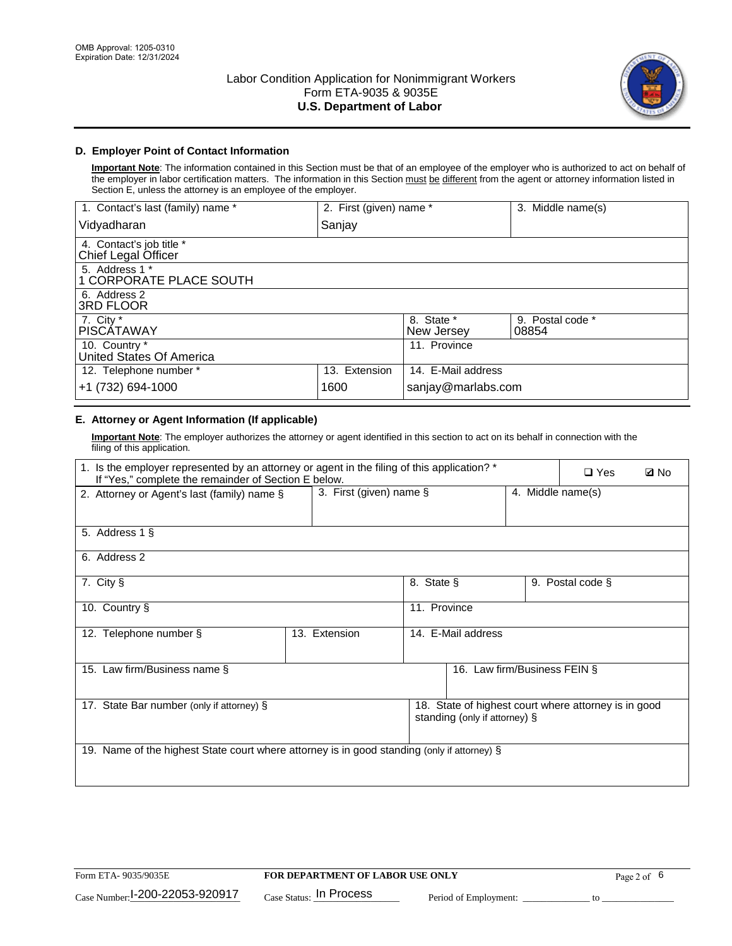

### **D. Employer Point of Contact Information**

**Important Note**: The information contained in this Section must be that of an employee of the employer who is authorized to act on behalf of the employer in labor certification matters. The information in this Section must be different from the agent or attorney information listed in Section E, unless the attorney is an employee of the employer.

| 1. Contact's last (family) name *               | 2. First (given) name * |                          | 3. Middle name(s)         |
|-------------------------------------------------|-------------------------|--------------------------|---------------------------|
| Vidyadharan                                     | Sanjay                  |                          |                           |
| 4. Contact's job title *<br>Chief Legal Officer |                         |                          |                           |
| 5. Address 1 *<br>1 CORPORATE PLACE SOUTH       |                         |                          |                           |
| 6. Address 2<br>3RD FLOOR                       |                         |                          |                           |
| 7. City $*$<br><b>PISCÁTAWAY</b>                |                         | 8. State *<br>New Jersey | 9. Postal code *<br>08854 |
| 10. Country *<br>United States Of America       |                         | 11. Province             |                           |
| 12. Telephone number *                          | 13. Extension           | 14. E-Mail address       |                           |
| +1 (732) 694-1000                               | 1600                    | sanjay@marlabs.com       |                           |

# **E. Attorney or Agent Information (If applicable)**

**Important Note**: The employer authorizes the attorney or agent identified in this section to act on its behalf in connection with the filing of this application.

| 1. Is the employer represented by an attorney or agent in the filing of this application? *<br>If "Yes," complete the remainder of Section E below. |               |                                              |                               |  |                                                      | <b>ØNo</b> |
|-----------------------------------------------------------------------------------------------------------------------------------------------------|---------------|----------------------------------------------|-------------------------------|--|------------------------------------------------------|------------|
| 2. Attorney or Agent's last (family) name §                                                                                                         |               | 3. First (given) name §<br>4. Middle name(s) |                               |  |                                                      |            |
| 5. Address 1 §                                                                                                                                      |               |                                              |                               |  |                                                      |            |
| 6. Address 2                                                                                                                                        |               |                                              |                               |  |                                                      |            |
| 7. City §                                                                                                                                           |               | 8. State §                                   |                               |  | 9. Postal code §                                     |            |
| 10. Country §                                                                                                                                       |               | 11. Province                                 |                               |  |                                                      |            |
| 12. Telephone number §                                                                                                                              | 13. Extension |                                              | 14. E-Mail address            |  |                                                      |            |
| 15. Law firm/Business name §                                                                                                                        |               |                                              | 16. Law firm/Business FEIN §  |  |                                                      |            |
| 17. State Bar number (only if attorney) §                                                                                                           |               |                                              | standing (only if attorney) § |  | 18. State of highest court where attorney is in good |            |
| 19. Name of the highest State court where attorney is in good standing (only if attorney) §                                                         |               |                                              |                               |  |                                                      |            |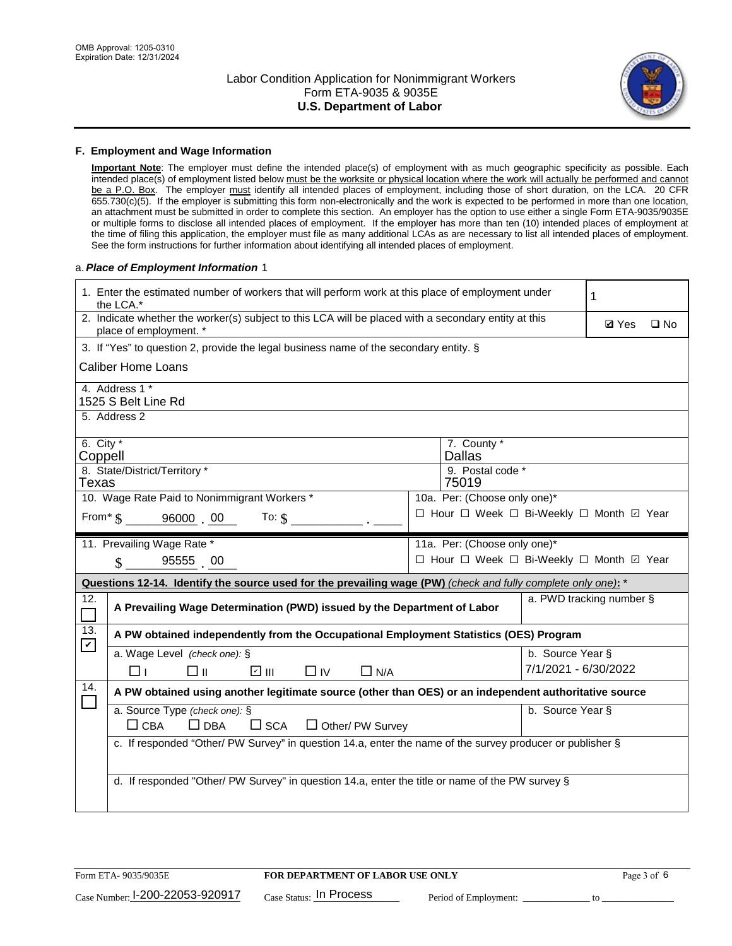

#### **F. Employment and Wage Information**

**Important Note**: The employer must define the intended place(s) of employment with as much geographic specificity as possible. Each intended place(s) of employment listed below must be the worksite or physical location where the work will actually be performed and cannot be a P.O. Box. The employer must identify all intended places of employment, including those of short duration, on the LCA. 20 CFR 655.730(c)(5). If the employer is submitting this form non-electronically and the work is expected to be performed in more than one location, an attachment must be submitted in order to complete this section. An employer has the option to use either a single Form ETA-9035/9035E or multiple forms to disclose all intended places of employment. If the employer has more than ten (10) intended places of employment at the time of filing this application, the employer must file as many additional LCAs as are necessary to list all intended places of employment. See the form instructions for further information about identifying all intended places of employment.

#### a.*Place of Employment Information* 1

|                                                                              | 1. Enter the estimated number of workers that will perform work at this place of employment under<br>the LCA.*                 |  | 1                                        |                      |                          |              |  |
|------------------------------------------------------------------------------|--------------------------------------------------------------------------------------------------------------------------------|--|------------------------------------------|----------------------|--------------------------|--------------|--|
|                                                                              | 2. Indicate whether the worker(s) subject to this LCA will be placed with a secondary entity at this<br>place of employment. * |  |                                          |                      | <b>Ø</b> Yes             | $\square$ No |  |
|                                                                              | 3. If "Yes" to question 2, provide the legal business name of the secondary entity. §                                          |  |                                          |                      |                          |              |  |
|                                                                              | <b>Caliber Home Loans</b>                                                                                                      |  |                                          |                      |                          |              |  |
|                                                                              | 4. Address 1 *<br>1525 S Belt Line Rd                                                                                          |  |                                          |                      |                          |              |  |
|                                                                              | 5. Address 2                                                                                                                   |  |                                          |                      |                          |              |  |
|                                                                              | 6. City $*$<br>7. County *<br><b>Dallas</b><br>Coppell<br>8. State/District/Territory *<br>9. Postal code *                    |  |                                          |                      |                          |              |  |
|                                                                              | 75019<br>Texas                                                                                                                 |  |                                          |                      |                          |              |  |
| 10. Wage Rate Paid to Nonimmigrant Workers *<br>10a. Per: (Choose only one)* |                                                                                                                                |  |                                          |                      |                          |              |  |
|                                                                              | □ Hour □ Week □ Bi-Weekly □ Month 回 Year<br>From * \$ 96000 00<br>To: $\hat{\mathbf{S}}$                                       |  |                                          |                      |                          |              |  |
|                                                                              | 11. Prevailing Wage Rate *                                                                                                     |  | 11a. Per: (Choose only one)*             |                      |                          |              |  |
|                                                                              | 95555 00<br>$\mathbf{\hat{S}}$                                                                                                 |  | □ Hour □ Week □ Bi-Weekly □ Month 回 Year |                      |                          |              |  |
|                                                                              | Questions 12-14. Identify the source used for the prevailing wage (PW) (check and fully complete only one): *                  |  |                                          |                      |                          |              |  |
| 12.                                                                          | A Prevailing Wage Determination (PWD) issued by the Department of Labor                                                        |  |                                          |                      | a. PWD tracking number § |              |  |
| 13.                                                                          | A PW obtained independently from the Occupational Employment Statistics (OES) Program                                          |  |                                          |                      |                          |              |  |
| $\blacktriangledown$                                                         | a. Wage Level (check one): §                                                                                                   |  |                                          | b. Source Year §     |                          |              |  |
|                                                                              | $\Box$ II<br>☑ ॥।<br>$\Box$ IV<br>$\Box$ N/A<br>⊓⊥                                                                             |  |                                          | 7/1/2021 - 6/30/2022 |                          |              |  |
| 14.                                                                          | A PW obtained using another legitimate source (other than OES) or an independent authoritative source                          |  |                                          |                      |                          |              |  |
|                                                                              | a. Source Type (check one): §<br>b. Source Year §<br>$\Box$ CBA<br>$\Box$ DBA<br>$\square$ SCA<br>$\Box$ Other/ PW Survey      |  |                                          |                      |                          |              |  |
|                                                                              | c. If responded "Other/ PW Survey" in question 14.a, enter the name of the survey producer or publisher §                      |  |                                          |                      |                          |              |  |
|                                                                              | d. If responded "Other/ PW Survey" in question 14.a, enter the title or name of the PW survey §                                |  |                                          |                      |                          |              |  |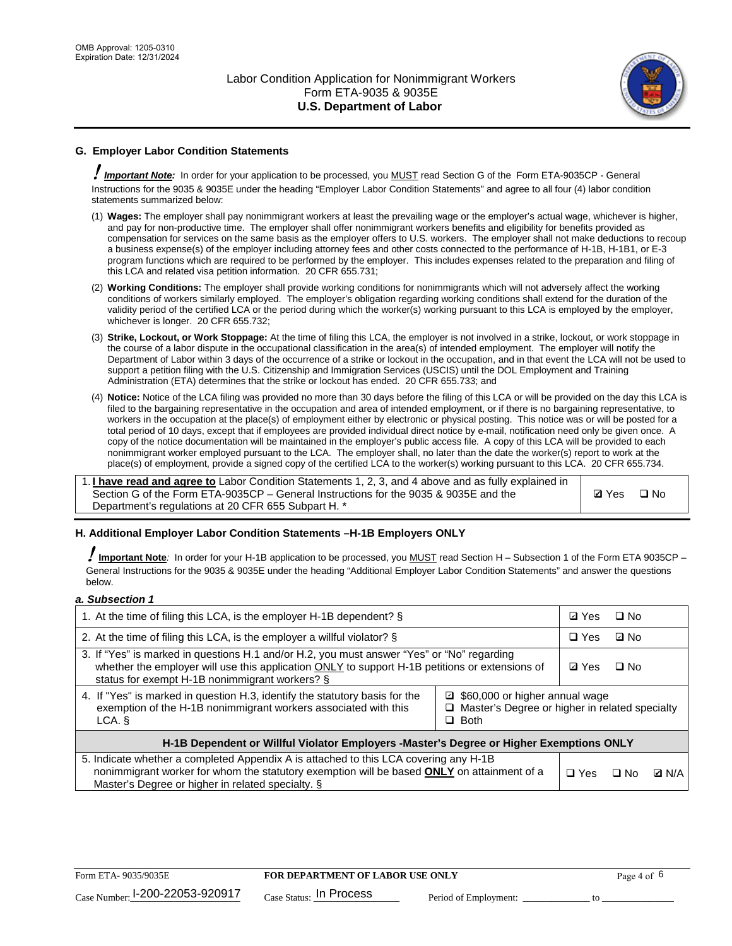

# **G. Employer Labor Condition Statements**

! *Important Note:* In order for your application to be processed, you MUST read Section G of the Form ETA-9035CP - General Instructions for the 9035 & 9035E under the heading "Employer Labor Condition Statements" and agree to all four (4) labor condition statements summarized below:

- (1) **Wages:** The employer shall pay nonimmigrant workers at least the prevailing wage or the employer's actual wage, whichever is higher, and pay for non-productive time. The employer shall offer nonimmigrant workers benefits and eligibility for benefits provided as compensation for services on the same basis as the employer offers to U.S. workers. The employer shall not make deductions to recoup a business expense(s) of the employer including attorney fees and other costs connected to the performance of H-1B, H-1B1, or E-3 program functions which are required to be performed by the employer. This includes expenses related to the preparation and filing of this LCA and related visa petition information. 20 CFR 655.731;
- (2) **Working Conditions:** The employer shall provide working conditions for nonimmigrants which will not adversely affect the working conditions of workers similarly employed. The employer's obligation regarding working conditions shall extend for the duration of the validity period of the certified LCA or the period during which the worker(s) working pursuant to this LCA is employed by the employer, whichever is longer. 20 CFR 655.732;
- (3) **Strike, Lockout, or Work Stoppage:** At the time of filing this LCA, the employer is not involved in a strike, lockout, or work stoppage in the course of a labor dispute in the occupational classification in the area(s) of intended employment. The employer will notify the Department of Labor within 3 days of the occurrence of a strike or lockout in the occupation, and in that event the LCA will not be used to support a petition filing with the U.S. Citizenship and Immigration Services (USCIS) until the DOL Employment and Training Administration (ETA) determines that the strike or lockout has ended. 20 CFR 655.733; and
- (4) **Notice:** Notice of the LCA filing was provided no more than 30 days before the filing of this LCA or will be provided on the day this LCA is filed to the bargaining representative in the occupation and area of intended employment, or if there is no bargaining representative, to workers in the occupation at the place(s) of employment either by electronic or physical posting. This notice was or will be posted for a total period of 10 days, except that if employees are provided individual direct notice by e-mail, notification need only be given once. A copy of the notice documentation will be maintained in the employer's public access file. A copy of this LCA will be provided to each nonimmigrant worker employed pursuant to the LCA. The employer shall, no later than the date the worker(s) report to work at the place(s) of employment, provide a signed copy of the certified LCA to the worker(s) working pursuant to this LCA. 20 CFR 655.734.

1. **I have read and agree to** Labor Condition Statements 1, 2, 3, and 4 above and as fully explained in Section G of the Form ETA-9035CP – General Instructions for the 9035 & 9035E and the Department's regulations at 20 CFR 655 Subpart H. \*

**Ø**Yes ロNo

### **H. Additional Employer Labor Condition Statements –H-1B Employers ONLY**

!**Important Note***:* In order for your H-1B application to be processed, you MUST read Section H – Subsection 1 of the Form ETA 9035CP – General Instructions for the 9035 & 9035E under the heading "Additional Employer Labor Condition Statements" and answer the questions below.

#### *a. Subsection 1*

| 1. At the time of filing this LCA, is the employer H-1B dependent? §                                                                                                                                                                                            | ⊡ Yes      | $\square$ No |              |  |
|-----------------------------------------------------------------------------------------------------------------------------------------------------------------------------------------------------------------------------------------------------------------|------------|--------------|--------------|--|
| 2. At the time of filing this LCA, is the employer a willful violator? $\S$                                                                                                                                                                                     |            | $\Box$ Yes   | ⊡ No         |  |
| 3. If "Yes" is marked in questions H.1 and/or H.2, you must answer "Yes" or "No" regarding<br>whether the employer will use this application ONLY to support H-1B petitions or extensions of<br>status for exempt H-1B nonimmigrant workers? §                  |            |              | $\Box$ No    |  |
| 4. If "Yes" is marked in question H.3, identify the statutory basis for the<br>■ \$60,000 or higher annual wage<br>exemption of the H-1B nonimmigrant workers associated with this<br>□ Master's Degree or higher in related specialty<br>$\Box$ Both<br>LCA. § |            |              |              |  |
| H-1B Dependent or Willful Violator Employers -Master's Degree or Higher Exemptions ONLY                                                                                                                                                                         |            |              |              |  |
| 5. Indicate whether a completed Appendix A is attached to this LCA covering any H-1B<br>nonimmigrant worker for whom the statutory exemption will be based <b>ONLY</b> on attainment of a<br>Master's Degree or higher in related specialty. §                  | $\Box$ Yes | ⊡ No         | <b>Q</b> N/A |  |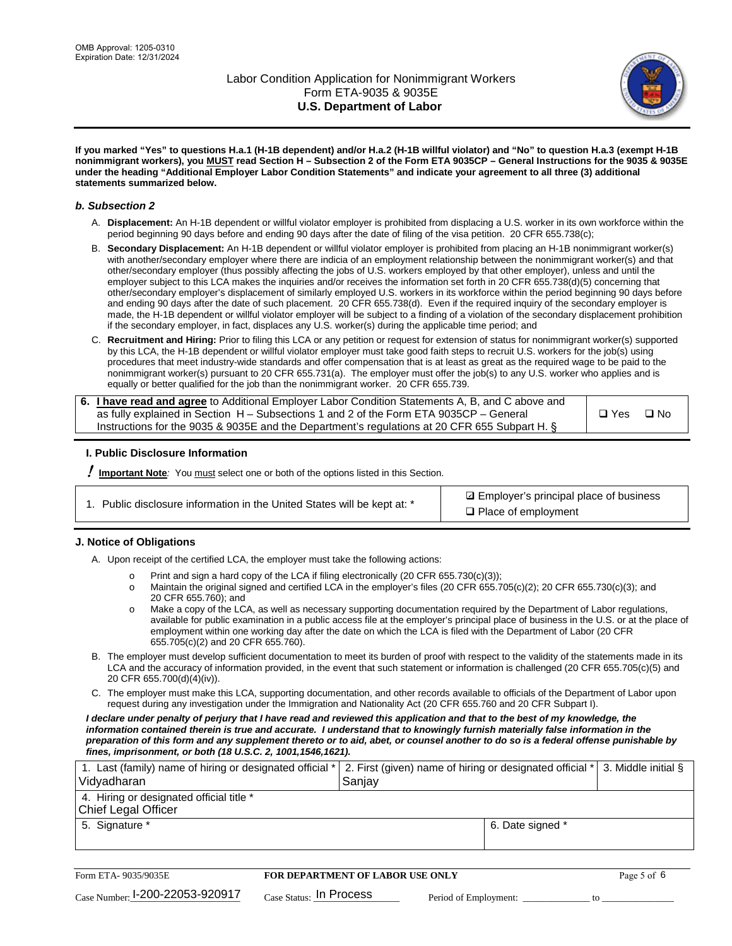

**If you marked "Yes" to questions H.a.1 (H-1B dependent) and/or H.a.2 (H-1B willful violator) and "No" to question H.a.3 (exempt H-1B nonimmigrant workers), you MUST read Section H – Subsection 2 of the Form ETA 9035CP – General Instructions for the 9035 & 9035E under the heading "Additional Employer Labor Condition Statements" and indicate your agreement to all three (3) additional statements summarized below.**

#### *b. Subsection 2*

- A. **Displacement:** An H-1B dependent or willful violator employer is prohibited from displacing a U.S. worker in its own workforce within the period beginning 90 days before and ending 90 days after the date of filing of the visa petition. 20 CFR 655.738(c);
- B. **Secondary Displacement:** An H-1B dependent or willful violator employer is prohibited from placing an H-1B nonimmigrant worker(s) with another/secondary employer where there are indicia of an employment relationship between the nonimmigrant worker(s) and that other/secondary employer (thus possibly affecting the jobs of U.S. workers employed by that other employer), unless and until the employer subject to this LCA makes the inquiries and/or receives the information set forth in 20 CFR 655.738(d)(5) concerning that other/secondary employer's displacement of similarly employed U.S. workers in its workforce within the period beginning 90 days before and ending 90 days after the date of such placement. 20 CFR 655.738(d). Even if the required inquiry of the secondary employer is made, the H-1B dependent or willful violator employer will be subject to a finding of a violation of the secondary displacement prohibition if the secondary employer, in fact, displaces any U.S. worker(s) during the applicable time period; and
- C. **Recruitment and Hiring:** Prior to filing this LCA or any petition or request for extension of status for nonimmigrant worker(s) supported by this LCA, the H-1B dependent or willful violator employer must take good faith steps to recruit U.S. workers for the job(s) using procedures that meet industry-wide standards and offer compensation that is at least as great as the required wage to be paid to the nonimmigrant worker(s) pursuant to 20 CFR 655.731(a). The employer must offer the job(s) to any U.S. worker who applies and is equally or better qualified for the job than the nonimmigrant worker. 20 CFR 655.739.

| 6. I have read and agree to Additional Employer Labor Condition Statements A, B, and C above and |       |           |
|--------------------------------------------------------------------------------------------------|-------|-----------|
| as fully explained in Section H – Subsections 1 and 2 of the Form ETA 9035CP – General           | □ Yes | $\Box$ No |
| Instructions for the 9035 & 9035E and the Department's regulations at 20 CFR 655 Subpart H. §    |       |           |

### **I. Public Disclosure Information**

! **Important Note***:* You must select one or both of the options listed in this Section.

|  | 1. Public disclosure information in the United States will be kept at: * |  |  |  |
|--|--------------------------------------------------------------------------|--|--|--|
|  |                                                                          |  |  |  |

**sqrt** Employer's principal place of business □ Place of employment

### **J. Notice of Obligations**

A. Upon receipt of the certified LCA, the employer must take the following actions:

- o Print and sign a hard copy of the LCA if filing electronically (20 CFR 655.730(c)(3));<br>
Maintain the original signed and certified LCA in the employer's files (20 CFR 655.7
- Maintain the original signed and certified LCA in the employer's files (20 CFR 655.705(c)(2); 20 CFR 655.730(c)(3); and 20 CFR 655.760); and
- o Make a copy of the LCA, as well as necessary supporting documentation required by the Department of Labor regulations, available for public examination in a public access file at the employer's principal place of business in the U.S. or at the place of employment within one working day after the date on which the LCA is filed with the Department of Labor (20 CFR 655.705(c)(2) and 20 CFR 655.760).
- B. The employer must develop sufficient documentation to meet its burden of proof with respect to the validity of the statements made in its LCA and the accuracy of information provided, in the event that such statement or information is challenged (20 CFR 655.705(c)(5) and 20 CFR 655.700(d)(4)(iv)).
- C. The employer must make this LCA, supporting documentation, and other records available to officials of the Department of Labor upon request during any investigation under the Immigration and Nationality Act (20 CFR 655.760 and 20 CFR Subpart I).

*I declare under penalty of perjury that I have read and reviewed this application and that to the best of my knowledge, the*  information contained therein is true and accurate. I understand that to knowingly furnish materially false information in the *preparation of this form and any supplement thereto or to aid, abet, or counsel another to do so is a federal offense punishable by fines, imprisonment, or both (18 U.S.C. 2, 1001,1546,1621).*

| 1. Last (family) name of hiring or designated official *   2. First (given) name of hiring or designated official *   3. Middle initial §<br>Vidyadharan | Saniav           |  |
|----------------------------------------------------------------------------------------------------------------------------------------------------------|------------------|--|
| 4. Hiring or designated official title *<br>Chief Legal Officer                                                                                          |                  |  |
| 5. Signature *                                                                                                                                           | 6. Date signed * |  |

| Form ETA-9035/9035E             | <b>FOR DEPARTMENT OF LABOR USE ONLY</b> |                       |  |
|---------------------------------|-----------------------------------------|-----------------------|--|
| Case Number: 1-200-22053-920917 | $_{\text{Case Status:}}$ In Process     | Period of Employment: |  |